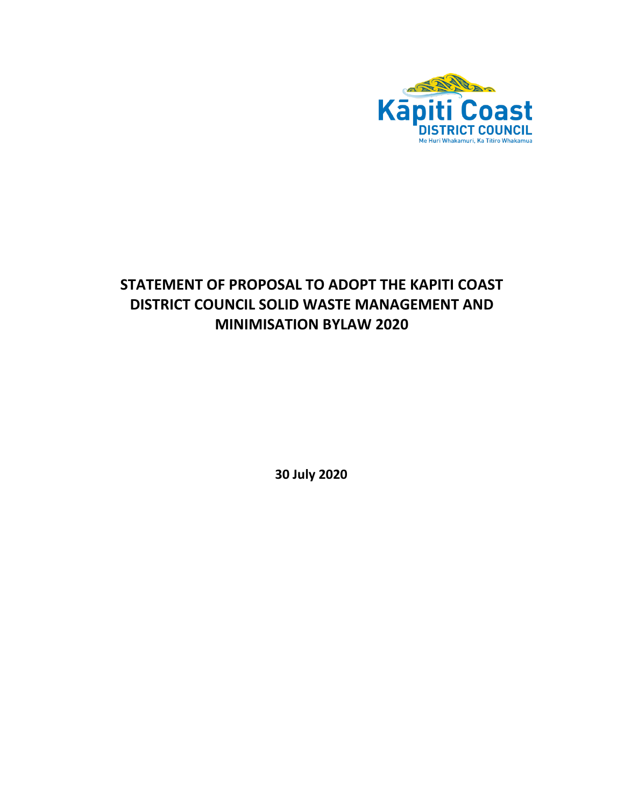

# **STATEMENT OF PROPOSAL TO ADOPT THE KAPITI COAST DISTRICT COUNCIL SOLID WASTE MANAGEMENT AND MINIMISATION BYLAW 2020**

**30 July 2020**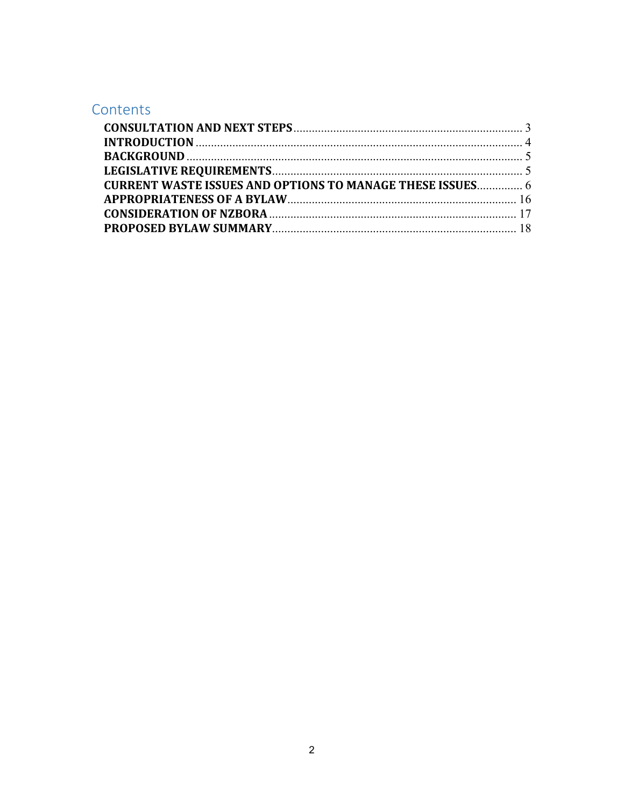# Contents

| <b>CURRENT WASTE ISSUES AND OPTIONS TO MANAGE THESE ISSUES 6</b> |
|------------------------------------------------------------------|
|                                                                  |
|                                                                  |
|                                                                  |
|                                                                  |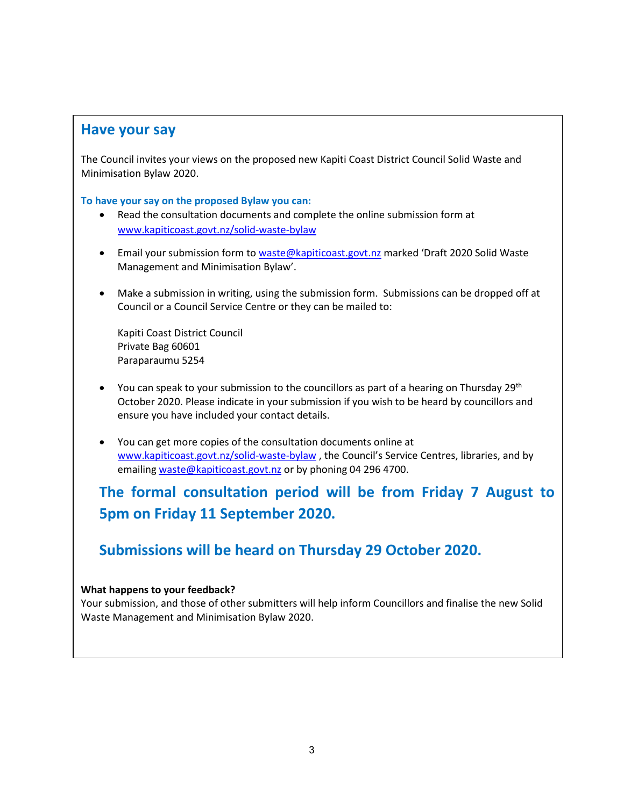# <span id="page-2-0"></span>**Have your say**

The Council invites your views on the proposed new Kapiti Coast District Council Solid Waste and Minimisation Bylaw 2020.

## **To have your say on the proposed Bylaw you can:**

- Read the consultation documents and complete the online submission form at [www.kapiticoast.govt.nz/solid-waste-bylaw](http://www.kapiticoast.govt.nz/solid-waste-bylaw)
- Email your submission form to [waste@kapiticoast.govt.nz](mailto:waste@kapiticoast.govt.nz) marked 'Draft 2020 Solid Waste Management and Minimisation Bylaw'.
- Make a submission in writing, using the submission form. Submissions can be dropped off at Council or a Council Service Centre or they can be mailed to:

Kapiti Coast District Council Private Bag 60601 Paraparaumu 5254

- You can speak to your submission to the councillors as part of a hearing on Thursday 29<sup>th</sup> October 2020. Please indicate in your submission if you wish to be heard by councillors and ensure you have included your contact details.
- You can get more copies of the consultation documents online at [www.kapiticoast.govt.nz/solid-waste-bylaw](http://www.kapiticoast.govt.nz/solid-waste-bylaw) , the Council's Service Centres, libraries, and by emailing [waste@kapiticoast.govt.nz](mailto:waste@kapiticoast.govt.nz) or by phoning 04 296 4700.

# **The formal consultation period will be from Friday 7 August to 5pm on Friday 11 September 2020.**

# **Submissions will be heard on Thursday 29 October 2020.**

## **What happens to your feedback?**

Your submission, and those of other submitters will help inform Councillors and finalise the new Solid Waste Management and Minimisation Bylaw 2020.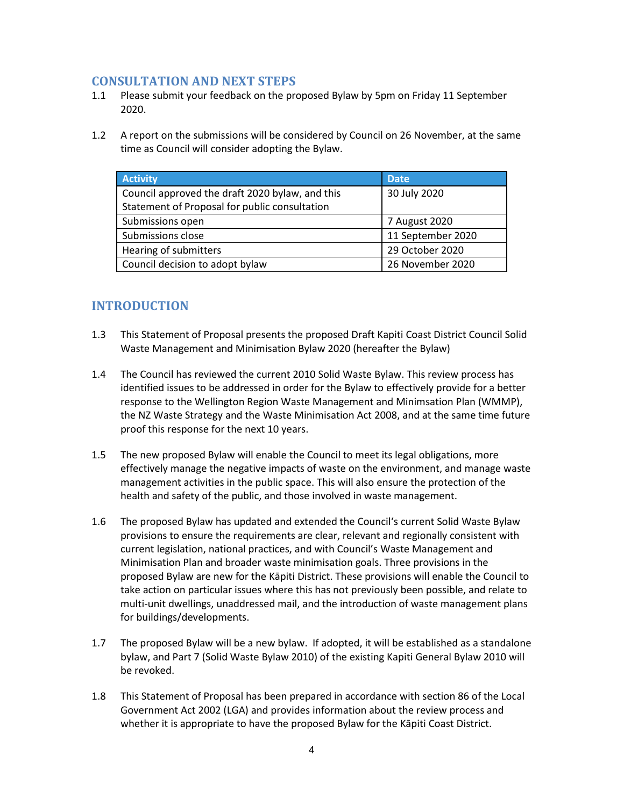# **CONSULTATION AND NEXT STEPS**

- 1.1 Please submit your feedback on the proposed Bylaw by 5pm on Friday 11 September 2020.
- 1.2 A report on the submissions will be considered by Council on 26 November, at the same time as Council will consider adopting the Bylaw.

| <b>Activity</b>                                 | <b>Date</b>       |
|-------------------------------------------------|-------------------|
| Council approved the draft 2020 bylaw, and this | 30 July 2020      |
| Statement of Proposal for public consultation   |                   |
| Submissions open                                | 7 August 2020     |
| Submissions close                               | 11 September 2020 |
| Hearing of submitters                           | 29 October 2020   |
| Council decision to adopt bylaw                 | 26 November 2020  |

# <span id="page-3-0"></span>**INTRODUCTION**

- 1.3 This Statement of Proposal presents the proposed Draft Kapiti Coast District Council Solid Waste Management and Minimisation Bylaw 2020 (hereafter the Bylaw)
- 1.4 The Council has reviewed the current 2010 Solid Waste Bylaw. This review process has identified issues to be addressed in order for the Bylaw to effectively provide for a better response to the Wellington Region Waste Management and Minimsation Plan (WMMP), the NZ Waste Strategy and the Waste Minimisation Act 2008, and at the same time future proof this response for the next 10 years.
- 1.5 The new proposed Bylaw will enable the Council to meet its legal obligations, more effectively manage the negative impacts of waste on the environment, and manage waste management activities in the public space. This will also ensure the protection of the health and safety of the public, and those involved in waste management.
- 1.6 The proposed Bylaw has updated and extended the Council's current Solid Waste Bylaw provisions to ensure the requirements are clear, relevant and regionally consistent with current legislation, national practices, and with Council's Waste Management and Minimisation Plan and broader waste minimisation goals. Three provisions in the proposed Bylaw are new for the Kāpiti District. These provisions will enable the Council to take action on particular issues where this has not previously been possible, and relate to multi-unit dwellings, unaddressed mail, and the introduction of waste management plans for buildings/developments.
- 1.7 The proposed Bylaw will be a new bylaw. If adopted, it will be established as a standalone bylaw, and Part 7 (Solid Waste Bylaw 2010) of the existing Kapiti General Bylaw 2010 will be revoked.
- 1.8 This Statement of Proposal has been prepared in accordance with section 86 of the Local Government Act 2002 (LGA) and provides information about the review process and whether it is appropriate to have the proposed Bylaw for the Kāpiti Coast District.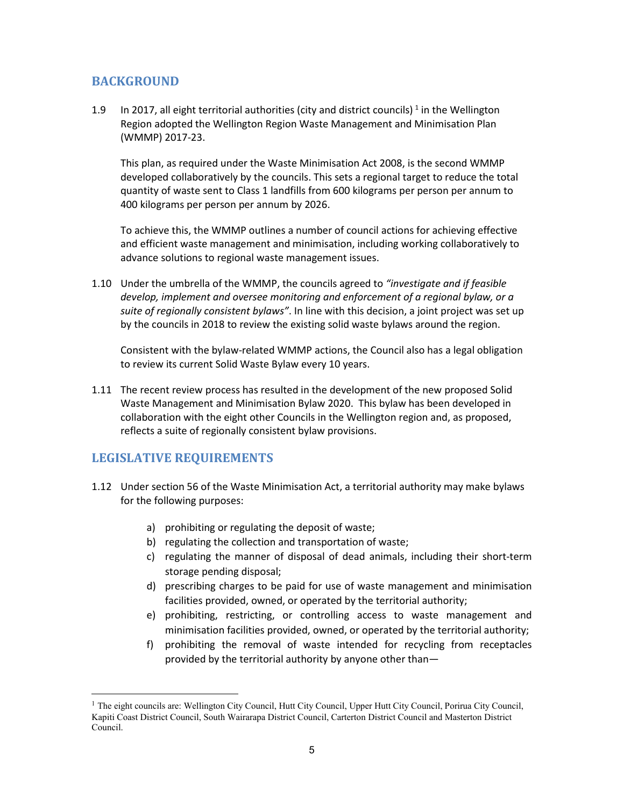# <span id="page-4-0"></span>**BACKGROUND**

[1](#page-4-2).9 In 2017, all eight territorial authorities (city and district councils)  $^1$  in the Wellington Region adopted the Wellington Region Waste Management and Minimisation Plan (WMMP) 2017-23.

This plan, as required under the Waste Minimisation Act 2008, is the second WMMP developed collaboratively by the councils. This sets a regional target to reduce the total quantity of waste sent to Class 1 landfills from 600 kilograms per person per annum to 400 kilograms per person per annum by 2026.

To achieve this, the WMMP outlines a number of council actions for achieving effective and efficient waste management and minimisation, including working collaboratively to advance solutions to regional waste management issues.

1.10 Under the umbrella of the WMMP, the councils agreed to *"investigate and if feasible develop, implement and oversee monitoring and enforcement of a regional bylaw, or a suite of regionally consistent bylaws"*. In line with this decision, a joint project was set up by the councils in 2018 to review the existing solid waste bylaws around the region.

Consistent with the bylaw-related WMMP actions, the Council also has a legal obligation to review its current Solid Waste Bylaw every 10 years.

1.11 The recent review process has resulted in the development of the new proposed Solid Waste Management and Minimisation Bylaw 2020. This bylaw has been developed in collaboration with the eight other Councils in the Wellington region and, as proposed, reflects a suite of regionally consistent bylaw provisions.

# <span id="page-4-1"></span>**LEGISLATIVE REQUIREMENTS**

- 1.12 Under section 56 of the Waste Minimisation Act, a territorial authority may make bylaws for the following purposes:
	- a) prohibiting or regulating the deposit of waste;
	- b) regulating the collection and transportation of waste;
	- c) regulating the manner of disposal of dead animals, including their short-term storage pending disposal;
	- d) prescribing charges to be paid for use of waste management and minimisation facilities provided, owned, or operated by the territorial authority;
	- e) prohibiting, restricting, or controlling access to waste management and minimisation facilities provided, owned, or operated by the territorial authority;
	- f) prohibiting the removal of waste intended for recycling from receptacles provided by the territorial authority by anyone other than—

<span id="page-4-2"></span><sup>&</sup>lt;sup>1</sup> The eight councils are: Wellington City Council, Hutt City Council, Upper Hutt City Council, Porirua City Council, Kapiti Coast District Council, South Wairarapa District Council, Carterton District Council and Masterton District Council.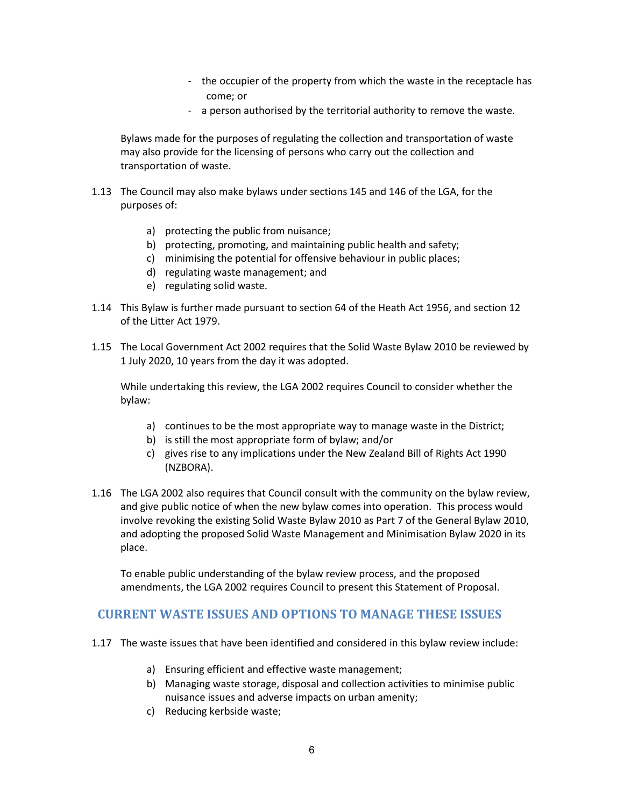- the occupier of the property from which the waste in the receptacle has come; or
- a person authorised by the territorial authority to remove the waste.

Bylaws made for the purposes of regulating the collection and transportation of waste may also provide for the licensing of persons who carry out the collection and transportation of waste.

- 1.13 The Council may also make bylaws under sections 145 and 146 of the LGA, for the purposes of:
	- a) protecting the public from nuisance;
	- b) protecting, promoting, and maintaining public health and safety;
	- c) minimising the potential for offensive behaviour in public places;
	- d) regulating waste management; and
	- e) regulating solid waste.
- 1.14 This Bylaw is further made pursuant to section 64 of the Heath Act 1956, and section 12 of the Litter Act 1979.
- 1.15 The Local Government Act 2002 requires that the Solid Waste Bylaw 2010 be reviewed by 1 July 2020, 10 years from the day it was adopted.

While undertaking this review, the LGA 2002 requires Council to consider whether the bylaw:

- a) continues to be the most appropriate way to manage waste in the District;
- b) is still the most appropriate form of bylaw; and/or
- c) gives rise to any implications under the New Zealand Bill of Rights Act 1990 (NZBORA).
- 1.16 The LGA 2002 also requires that Council consult with the community on the bylaw review, and give public notice of when the new bylaw comes into operation. This process would involve revoking the existing Solid Waste Bylaw 2010 as Part 7 of the General Bylaw 2010, and adopting the proposed Solid Waste Management and Minimisation Bylaw 2020 in its place.

To enable public understanding of the bylaw review process, and the proposed amendments, the LGA 2002 requires Council to present this Statement of Proposal.

## <span id="page-5-0"></span> **CURRENT WASTE ISSUES AND OPTIONS TO MANAGE THESE ISSUES**

- 1.17 The waste issues that have been identified and considered in this bylaw review include:
	- a) Ensuring efficient and effective waste management;
	- b) Managing waste storage, disposal and collection activities to minimise public nuisance issues and adverse impacts on urban amenity;
	- c) Reducing kerbside waste;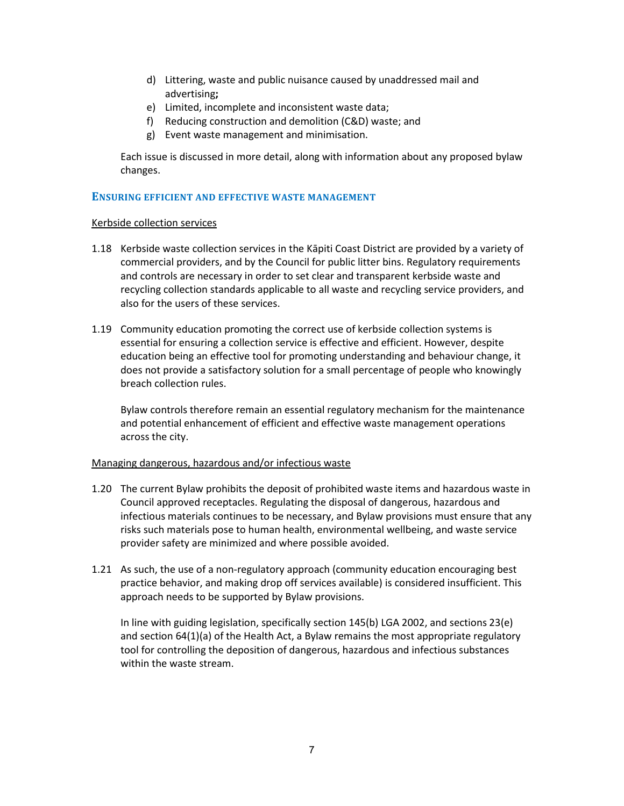- d) Littering, waste and public nuisance caused by unaddressed mail and advertising**;**
- e) Limited, incomplete and inconsistent waste data;
- f) Reducing construction and demolition (C&D) waste; and
- g) Event waste management and minimisation.

Each issue is discussed in more detail, along with information about any proposed bylaw changes.

## **ENSURING EFFICIENT AND EFFECTIVE WASTE MANAGEMENT**

#### Kerbside collection services

- 1.18 Kerbside waste collection services in the Kāpiti Coast District are provided by a variety of commercial providers, and by the Council for public litter bins. Regulatory requirements and controls are necessary in order to set clear and transparent kerbside waste and recycling collection standards applicable to all waste and recycling service providers, and also for the users of these services.
- 1.19 Community education promoting the correct use of kerbside collection systems is essential for ensuring a collection service is effective and efficient. However, despite education being an effective tool for promoting understanding and behaviour change, it does not provide a satisfactory solution for a small percentage of people who knowingly breach collection rules.

Bylaw controls therefore remain an essential regulatory mechanism for the maintenance and potential enhancement of efficient and effective waste management operations across the city.

## Managing dangerous, hazardous and/or infectious waste

- 1.20 The current Bylaw prohibits the deposit of prohibited waste items and hazardous waste in Council approved receptacles. Regulating the disposal of dangerous, hazardous and infectious materials continues to be necessary, and Bylaw provisions must ensure that any risks such materials pose to human health, environmental wellbeing, and waste service provider safety are minimized and where possible avoided.
- 1.21 As such, the use of a non-regulatory approach (community education encouraging best practice behavior, and making drop off services available) is considered insufficient. This approach needs to be supported by Bylaw provisions.

In line with guiding legislation, specifically section 145(b) LGA 2002, and sections 23(e) and section 64(1)(a) of the Health Act, a Bylaw remains the most appropriate regulatory tool for controlling the deposition of dangerous, hazardous and infectious substances within the waste stream.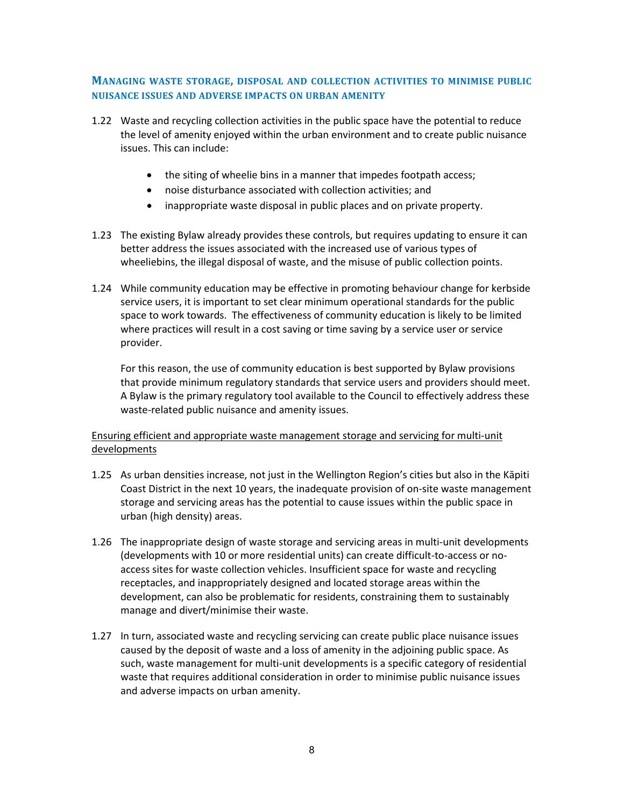## **MANAGING WASTE STORAGE, DISPOSAL AND COLLECTION ACTIVITIES TO MINIMISE PUBLIC NUISANCE ISSUES AND ADVERSE IMPACTS ON URBAN AMENITY**

- 1.22 Waste and recycling collection activities in the public space have the potential to reduce the level of amenity enjoyed within the urban environment and to create public nuisance issues. This can include:
	- the siting of wheelie bins in a manner that impedes footpath access;
	- noise disturbance associated with collection activities; and
	- inappropriate waste disposal in public places and on private property.
- 1.23 The existing Bylaw already provides these controls, but requires updating to ensure it can better address the issues associated with the increased use of various types of wheeliebins, the illegal disposal of waste, and the misuse of public collection points.
- 1.24 While community education may be effective in promoting behaviour change for kerbside service users, it is important to set clear minimum operational standards for the public space to work towards. The effectiveness of community education is likely to be limited where practices will result in a cost saving or time saving by a service user or service provider.

For this reason, the use of community education is best supported by Bylaw provisions that provide minimum regulatory standards that service users and providers should meet. A Bylaw is the primary regulatory tool available to the Council to effectively address these waste-related public nuisance and amenity issues.

## Ensuring efficient and appropriate waste management storage and servicing for multi-unit developments

- 1.25 As urban densities increase, not just in the Wellington Region's cities but also in the Kāpiti Coast District in the next 10 years, the inadequate provision of on-site waste management storage and servicing areas has the potential to cause issues within the public space in urban (high density) areas.
- 1.26 The inappropriate design of waste storage and servicing areas in multi-unit developments (developments with 10 or more residential units) can create difficult-to-access or noaccess sites for waste collection vehicles. Insufficient space for waste and recycling receptacles, and inappropriately designed and located storage areas within the development, can also be problematic for residents, constraining them to sustainably manage and divert/minimise their waste.
- 1.27 In turn, associated waste and recycling servicing can create public place nuisance issues caused by the deposit of waste and a loss of amenity in the adjoining public space. As such, waste management for multi-unit developments is a specific category of residential waste that requires additional consideration in order to minimise public nuisance issues and adverse impacts on urban amenity.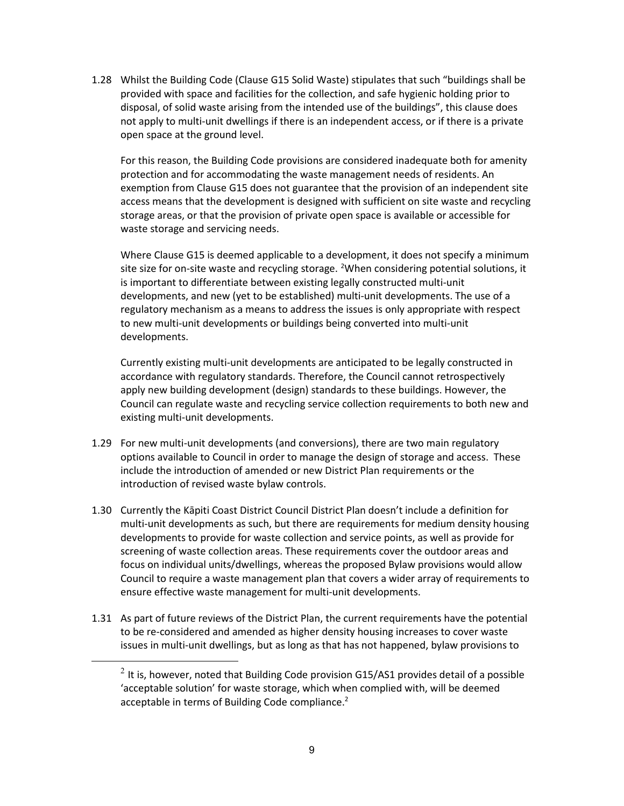1.28 Whilst the Building Code (Clause G15 Solid Waste) stipulates that such "buildings shall be provided with space and facilities for the collection, and safe hygienic holding prior to disposal, of solid waste arising from the intended use of the buildings", this clause does not apply to multi-unit dwellings if there is an independent access, or if there is a private open space at the ground level.

For this reason, the Building Code provisions are considered inadequate both for amenity protection and for accommodating the waste management needs of residents. An exemption from Clause G15 does not guarantee that the provision of an independent site access means that the development is designed with sufficient on site waste and recycling storage areas, or that the provision of private open space is available or accessible for waste storage and servicing needs.

Where Clause G15 is deemed applicable to a development, it does not specify a minimum site size for on-site waste and recycling storage. <sup>[2](#page-8-0)</sup>When considering potential solutions, it is important to differentiate between existing legally constructed multi-unit developments, and new (yet to be established) multi-unit developments. The use of a regulatory mechanism as a means to address the issues is only appropriate with respect to new multi-unit developments or buildings being converted into multi-unit developments.

Currently existing multi-unit developments are anticipated to be legally constructed in accordance with regulatory standards. Therefore, the Council cannot retrospectively apply new building development (design) standards to these buildings. However, the Council can regulate waste and recycling service collection requirements to both new and existing multi-unit developments.

- 1.29 For new multi-unit developments (and conversions), there are two main regulatory options available to Council in order to manage the design of storage and access. These include the introduction of amended or new District Plan requirements or the introduction of revised waste bylaw controls.
- 1.30 Currently the Kāpiti Coast District Council District Plan doesn't include a definition for multi-unit developments as such, but there are requirements for medium density housing developments to provide for waste collection and service points, as well as provide for screening of waste collection areas. These requirements cover the outdoor areas and focus on individual units/dwellings, whereas the proposed Bylaw provisions would allow Council to require a waste management plan that covers a wider array of requirements to ensure effective waste management for multi-unit developments.
- <span id="page-8-0"></span>1.31 As part of future reviews of the District Plan, the current requirements have the potential to be re-considered and amended as higher density housing increases to cover waste issues in multi-unit dwellings, but as long as that has not happened, bylaw provisions to

 $2$  It is, however, noted that Building Code provision G15/AS1 provides detail of a possible 'acceptable solution' for waste storage, which when complied with, will be deemed acceptable in terms of Building Code compliance. $2$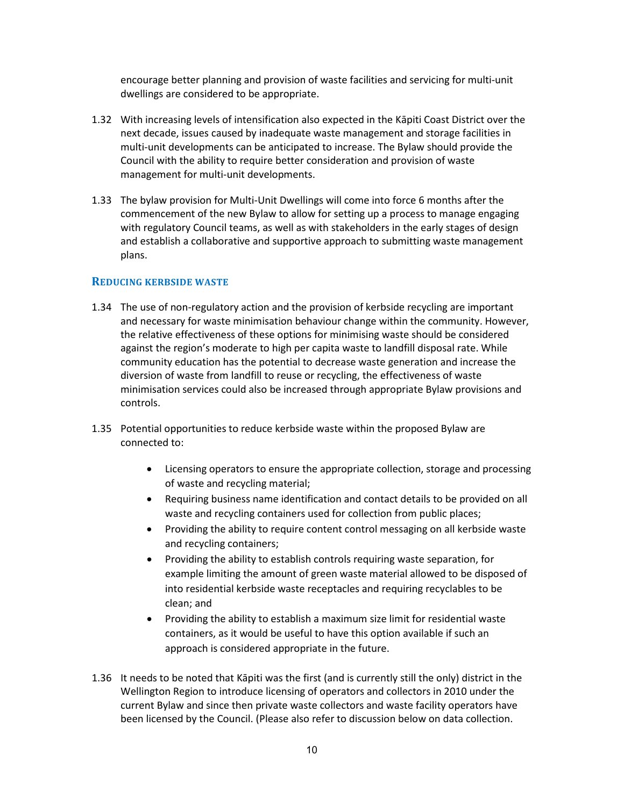encourage better planning and provision of waste facilities and servicing for multi-unit dwellings are considered to be appropriate.

- 1.32 With increasing levels of intensification also expected in the Kāpiti Coast District over the next decade, issues caused by inadequate waste management and storage facilities in multi-unit developments can be anticipated to increase. The Bylaw should provide the Council with the ability to require better consideration and provision of waste management for multi-unit developments.
- 1.33 The bylaw provision for Multi-Unit Dwellings will come into force 6 months after the commencement of the new Bylaw to allow for setting up a process to manage engaging with regulatory Council teams, as well as with stakeholders in the early stages of design and establish a collaborative and supportive approach to submitting waste management plans.

## **REDUCING KERBSIDE WASTE**

- 1.34 The use of non-regulatory action and the provision of kerbside recycling are important and necessary for waste minimisation behaviour change within the community. However, the relative effectiveness of these options for minimising waste should be considered against the region's moderate to high per capita waste to landfill disposal rate. While community education has the potential to decrease waste generation and increase the diversion of waste from landfill to reuse or recycling, the effectiveness of waste minimisation services could also be increased through appropriate Bylaw provisions and controls.
- 1.35 Potential opportunities to reduce kerbside waste within the proposed Bylaw are connected to:
	- Licensing operators to ensure the appropriate collection, storage and processing of waste and recycling material;
	- Requiring business name identification and contact details to be provided on all waste and recycling containers used for collection from public places;
	- Providing the ability to require content control messaging on all kerbside waste and recycling containers;
	- Providing the ability to establish controls requiring waste separation, for example limiting the amount of green waste material allowed to be disposed of into residential kerbside waste receptacles and requiring recyclables to be clean; and
	- Providing the ability to establish a maximum size limit for residential waste containers, as it would be useful to have this option available if such an approach is considered appropriate in the future.
- 1.36 It needs to be noted that Kāpiti was the first (and is currently still the only) district in the Wellington Region to introduce licensing of operators and collectors in 2010 under the current Bylaw and since then private waste collectors and waste facility operators have been licensed by the Council. (Please also refer to discussion below on data collection.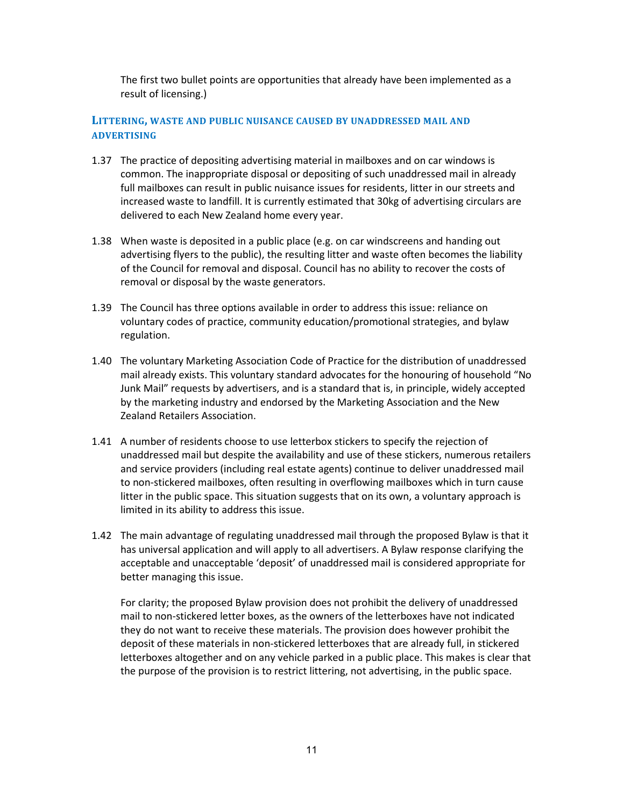The first two bullet points are opportunities that already have been implemented as a result of licensing.)

## **LITTERING, WASTE AND PUBLIC NUISANCE CAUSED BY UNADDRESSED MAIL AND ADVERTISING**

- 1.37 The practice of depositing advertising material in mailboxes and on car windows is common. The inappropriate disposal or depositing of such unaddressed mail in already full mailboxes can result in public nuisance issues for residents, litter in our streets and increased waste to landfill. It is currently estimated that 30kg of advertising circulars are delivered to each New Zealand home every year.
- 1.38 When waste is deposited in a public place (e.g. on car windscreens and handing out advertising flyers to the public), the resulting litter and waste often becomes the liability of the Council for removal and disposal. Council has no ability to recover the costs of removal or disposal by the waste generators.
- 1.39 The Council has three options available in order to address this issue: reliance on voluntary codes of practice, community education/promotional strategies, and bylaw regulation.
- 1.40 The voluntary Marketing Association Code of Practice for the distribution of unaddressed mail already exists. This voluntary standard advocates for the honouring of household "No Junk Mail" requests by advertisers, and is a standard that is, in principle, widely accepted by the marketing industry and endorsed by the Marketing Association and the New Zealand Retailers Association.
- 1.41 A number of residents choose to use letterbox stickers to specify the rejection of unaddressed mail but despite the availability and use of these stickers, numerous retailers and service providers (including real estate agents) continue to deliver unaddressed mail to non-stickered mailboxes, often resulting in overflowing mailboxes which in turn cause litter in the public space. This situation suggests that on its own, a voluntary approach is limited in its ability to address this issue.
- 1.42 The main advantage of regulating unaddressed mail through the proposed Bylaw is that it has universal application and will apply to all advertisers. A Bylaw response clarifying the acceptable and unacceptable 'deposit' of unaddressed mail is considered appropriate for better managing this issue.

For clarity; the proposed Bylaw provision does not prohibit the delivery of unaddressed mail to non-stickered letter boxes, as the owners of the letterboxes have not indicated they do not want to receive these materials. The provision does however prohibit the deposit of these materials in non-stickered letterboxes that are already full, in stickered letterboxes altogether and on any vehicle parked in a public place. This makes is clear that the purpose of the provision is to restrict littering, not advertising, in the public space.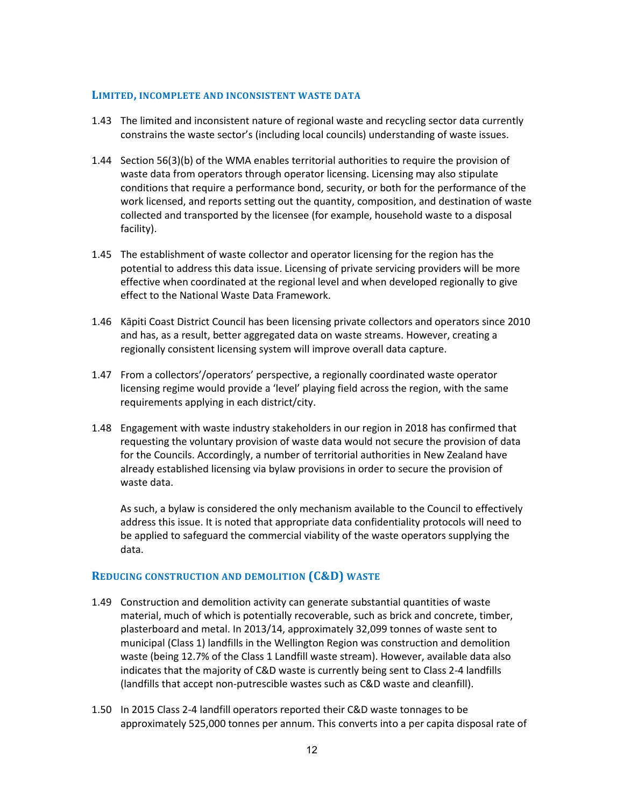#### **LIMITED, INCOMPLETE AND INCONSISTENT WASTE DATA**

- 1.43 The limited and inconsistent nature of regional waste and recycling sector data currently constrains the waste sector's (including local councils) understanding of waste issues.
- 1.44 Section 56(3)(b) of the WMA enables territorial authorities to require the provision of waste data from operators through operator licensing. Licensing may also stipulate conditions that require a performance bond, security, or both for the performance of the work licensed, and reports setting out the quantity, composition, and destination of waste collected and transported by the licensee (for example, household waste to a disposal facility).
- 1.45 The establishment of waste collector and operator licensing for the region has the potential to address this data issue. Licensing of private servicing providers will be more effective when coordinated at the regional level and when developed regionally to give effect to the National Waste Data Framework.
- 1.46 Kāpiti Coast District Council has been licensing private collectors and operators since 2010 and has, as a result, better aggregated data on waste streams. However, creating a regionally consistent licensing system will improve overall data capture.
- 1.47 From a collectors'/operators' perspective, a regionally coordinated waste operator licensing regime would provide a 'level' playing field across the region, with the same requirements applying in each district/city.
- 1.48 Engagement with waste industry stakeholders in our region in 2018 has confirmed that requesting the voluntary provision of waste data would not secure the provision of data for the Councils. Accordingly, a number of territorial authorities in New Zealand have already established licensing via bylaw provisions in order to secure the provision of waste data.

As such, a bylaw is considered the only mechanism available to the Council to effectively address this issue. It is noted that appropriate data confidentiality protocols will need to be applied to safeguard the commercial viability of the waste operators supplying the data.

## **REDUCING CONSTRUCTION AND DEMOLITION (C&D) WASTE**

- 1.49 Construction and demolition activity can generate substantial quantities of waste material, much of which is potentially recoverable, such as brick and concrete, timber, plasterboard and metal. In 2013/14, approximately 32,099 tonnes of waste sent to municipal (Class 1) landfills in the Wellington Region was construction and demolition waste (being 12.7% of the Class 1 Landfill waste stream). However, available data also indicates that the majority of C&D waste is currently being sent to Class 2-4 landfills (landfills that accept non-putrescible wastes such as C&D waste and cleanfill).
- 1.50 In 2015 Class 2-4 landfill operators reported their C&D waste tonnages to be approximately 525,000 tonnes per annum. This converts into a per capita disposal rate of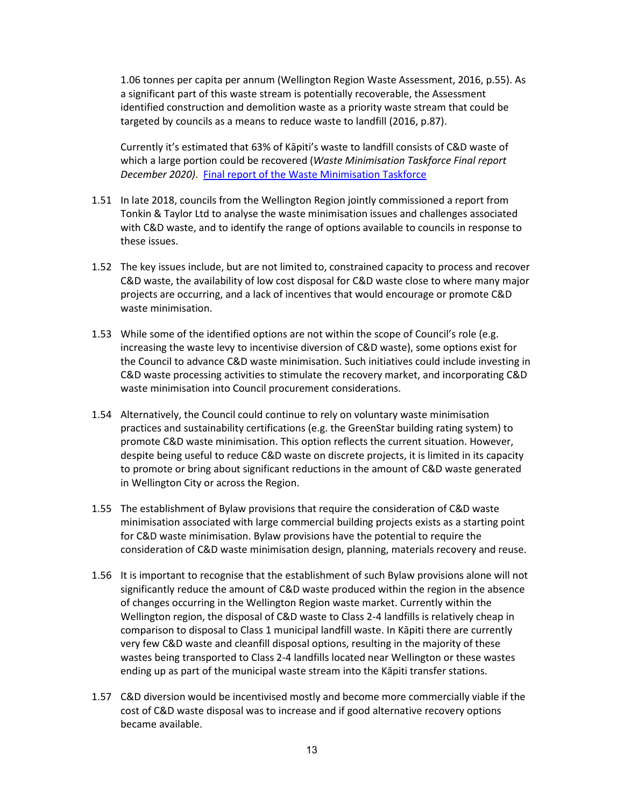1.06 tonnes per capita per annum (Wellington Region Waste Assessment, 2016, p.55). As a significant part of this waste stream is potentially recoverable, the Assessment identified construction and demolition waste as a priority waste stream that could be targeted by councils as a means to reduce waste to landfill (2016, p.87).

Currently it's estimated that 63% of Kāpiti's waste to landfill consists of C&D waste of which a large portion could be recovered (*Waste Minimisation Taskforce Final report December 2020)*. [Final report of the Waste Minimisation Taskforce](https://kapiticoast.infocouncil.biz/Open/2019/12/CO_20191212_AGN_2198_AT.PDF)

- 1.51 In late 2018, councils from the Wellington Region jointly commissioned a report from Tonkin & Taylor Ltd to analyse the waste minimisation issues and challenges associated with C&D waste, and to identify the range of options available to councils in response to these issues.
- 1.52 The key issues include, but are not limited to, constrained capacity to process and recover C&D waste, the availability of low cost disposal for C&D waste close to where many major projects are occurring, and a lack of incentives that would encourage or promote C&D waste minimisation.
- 1.53 While some of the identified options are not within the scope of Council's role (e.g. increasing the waste levy to incentivise diversion of C&D waste), some options exist for the Council to advance C&D waste minimisation. Such initiatives could include investing in C&D waste processing activities to stimulate the recovery market, and incorporating C&D waste minimisation into Council procurement considerations.
- 1.54 Alternatively, the Council could continue to rely on voluntary waste minimisation practices and sustainability certifications (e.g. the GreenStar building rating system) to promote C&D waste minimisation. This option reflects the current situation. However, despite being useful to reduce C&D waste on discrete projects, it is limited in its capacity to promote or bring about significant reductions in the amount of C&D waste generated in Wellington City or across the Region.
- 1.55 The establishment of Bylaw provisions that require the consideration of C&D waste minimisation associated with large commercial building projects exists as a starting point for C&D waste minimisation. Bylaw provisions have the potential to require the consideration of C&D waste minimisation design, planning, materials recovery and reuse.
- 1.56 It is important to recognise that the establishment of such Bylaw provisions alone will not significantly reduce the amount of C&D waste produced within the region in the absence of changes occurring in the Wellington Region waste market. Currently within the Wellington region, the disposal of C&D waste to Class 2-4 landfills is relatively cheap in comparison to disposal to Class 1 municipal landfill waste. In Kāpiti there are currently very few C&D waste and cleanfill disposal options, resulting in the majority of these wastes being transported to Class 2-4 landfills located near Wellington or these wastes ending up as part of the municipal waste stream into the Kāpiti transfer stations.
- 1.57 C&D diversion would be incentivised mostly and become more commercially viable if the cost of C&D waste disposal was to increase and if good alternative recovery options became available.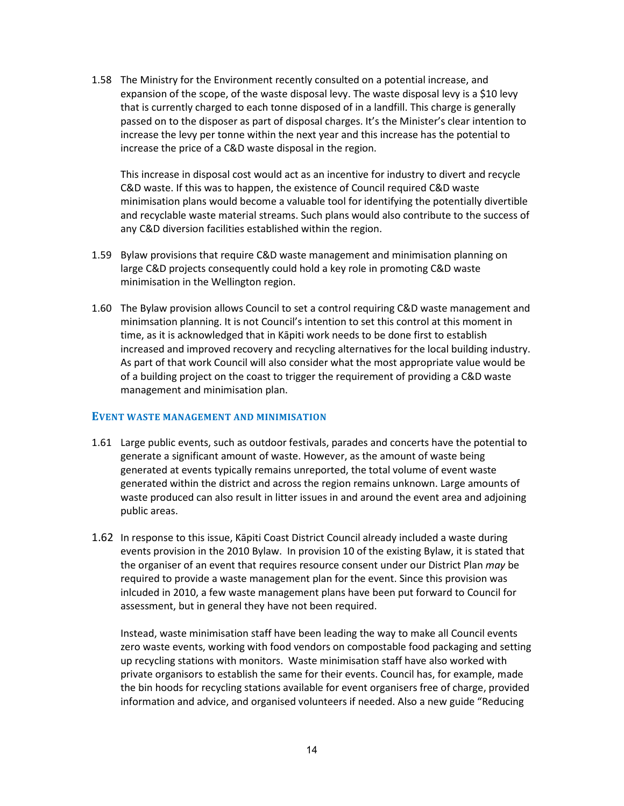1.58 The Ministry for the Environment recently consulted on a potential increase, and expansion of the scope, of the waste disposal levy. The waste disposal levy is a \$10 levy that is currently charged to each tonne disposed of in a landfill. This charge is generally passed on to the disposer as part of disposal charges. It's the Minister's clear intention to increase the levy per tonne within the next year and this increase has the potential to increase the price of a C&D waste disposal in the region.

This increase in disposal cost would act as an incentive for industry to divert and recycle C&D waste. If this was to happen, the existence of Council required C&D waste minimisation plans would become a valuable tool for identifying the potentially divertible and recyclable waste material streams. Such plans would also contribute to the success of any C&D diversion facilities established within the region.

- 1.59 Bylaw provisions that require C&D waste management and minimisation planning on large C&D projects consequently could hold a key role in promoting C&D waste minimisation in the Wellington region.
- 1.60 The Bylaw provision allows Council to set a control requiring C&D waste management and minimsation planning. It is not Council's intention to set this control at this moment in time, as it is acknowledged that in Kāpiti work needs to be done first to establish increased and improved recovery and recycling alternatives for the local building industry. As part of that work Council will also consider what the most appropriate value would be of a building project on the coast to trigger the requirement of providing a C&D waste management and minimisation plan.

#### **EVENT WASTE MANAGEMENT AND MINIMISATION**

- 1.61 Large public events, such as outdoor festivals, parades and concerts have the potential to generate a significant amount of waste. However, as the amount of waste being generated at events typically remains unreported, the total volume of event waste generated within the district and across the region remains unknown. Large amounts of waste produced can also result in litter issues in and around the event area and adjoining public areas.
- 1.62 In response to this issue, Kāpiti Coast District Council already included a waste during events provision in the 2010 Bylaw. In provision 10 of the existing Bylaw, it is stated that the organiser of an event that requires resource consent under our District Plan *may* be required to provide a waste management plan for the event. Since this provision was inlcuded in 2010, a few waste management plans have been put forward to Council for assessment, but in general they have not been required.

Instead, waste minimisation staff have been leading the way to make all Council events zero waste events, working with food vendors on compostable food packaging and setting up recycling stations with monitors. Waste minimisation staff have also worked with private organisors to establish the same for their events. Council has, for example, made the bin hoods for recycling stations available for event organisers free of charge, provided information and advice, and organised volunteers if needed. Also a new guide "Reducing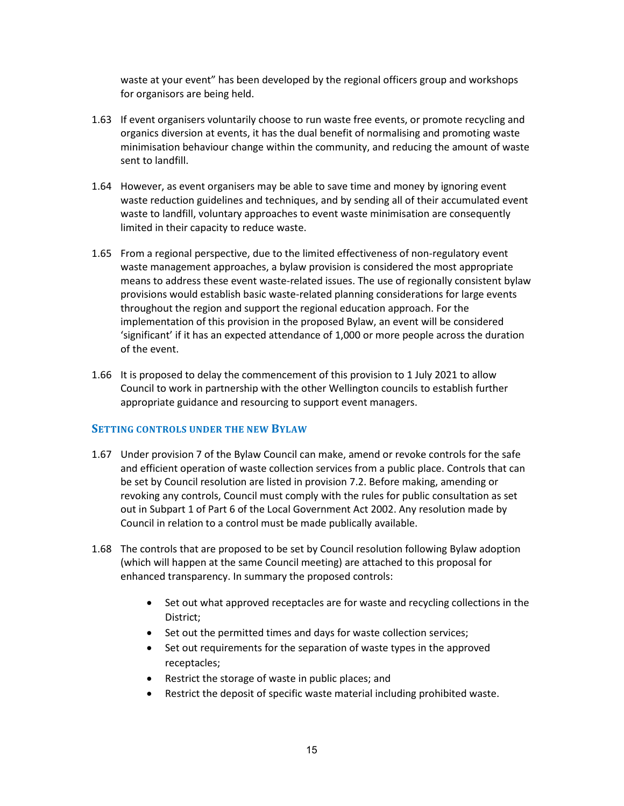waste at your event" has been developed by the regional officers group and workshops for organisors are being held.

- 1.63 If event organisers voluntarily choose to run waste free events, or promote recycling and organics diversion at events, it has the dual benefit of normalising and promoting waste minimisation behaviour change within the community, and reducing the amount of waste sent to landfill.
- 1.64 However, as event organisers may be able to save time and money by ignoring event waste reduction guidelines and techniques, and by sending all of their accumulated event waste to landfill, voluntary approaches to event waste minimisation are consequently limited in their capacity to reduce waste.
- 1.65 From a regional perspective, due to the limited effectiveness of non-regulatory event waste management approaches, a bylaw provision is considered the most appropriate means to address these event waste-related issues. The use of regionally consistent bylaw provisions would establish basic waste-related planning considerations for large events throughout the region and support the regional education approach. For the implementation of this provision in the proposed Bylaw, an event will be considered 'significant' if it has an expected attendance of 1,000 or more people across the duration of the event.
- 1.66 It is proposed to delay the commencement of this provision to 1 July 2021 to allow Council to work in partnership with the other Wellington councils to establish further appropriate guidance and resourcing to support event managers.

## **SETTING CONTROLS UNDER THE NEW BYLAW**

- 1.67 Under provision 7 of the Bylaw Council can make, amend or revoke controls for the safe and efficient operation of waste collection services from a public place. Controls that can be set by Council resolution are listed in provision 7.2. Before making, amending or revoking any controls, Council must comply with the rules for public consultation as set out in Subpart 1 of Part 6 of the Local Government Act 2002. Any resolution made by Council in relation to a control must be made publically available.
- 1.68 The controls that are proposed to be set by Council resolution following Bylaw adoption (which will happen at the same Council meeting) are attached to this proposal for enhanced transparency. In summary the proposed controls:
	- Set out what approved receptacles are for waste and recycling collections in the District;
	- Set out the permitted times and days for waste collection services;
	- Set out requirements for the separation of waste types in the approved receptacles;
	- Restrict the storage of waste in public places; and
	- Restrict the deposit of specific waste material including prohibited waste.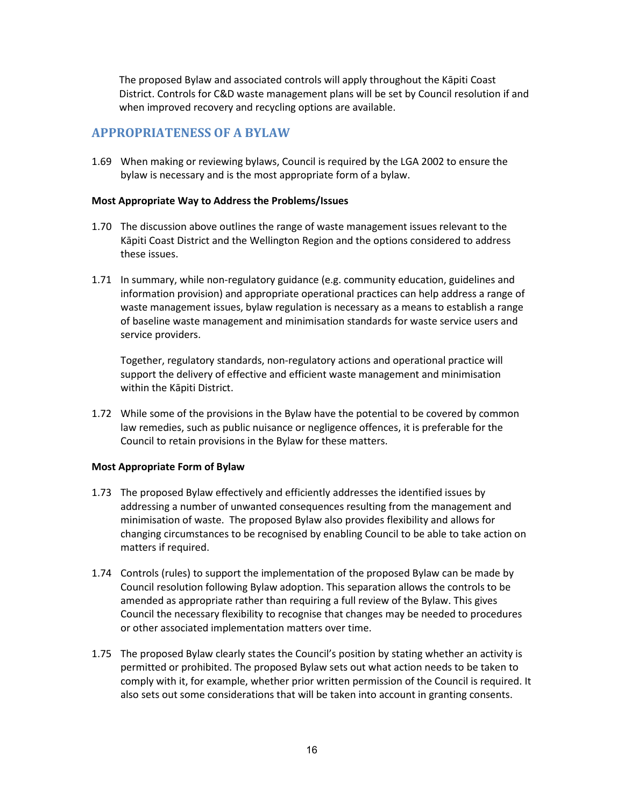The proposed Bylaw and associated controls will apply throughout the Kāpiti Coast District. Controls for C&D waste management plans will be set by Council resolution if and when improved recovery and recycling options are available.

# <span id="page-15-0"></span>**APPROPRIATENESS OF A BYLAW**

1.69 When making or reviewing bylaws, Council is required by the LGA 2002 to ensure the bylaw is necessary and is the most appropriate form of a bylaw.

#### **Most Appropriate Way to Address the Problems/Issues**

- 1.70 The discussion above outlines the range of waste management issues relevant to the Kāpiti Coast District and the Wellington Region and the options considered to address these issues.
- 1.71 In summary, while non-regulatory guidance (e.g. community education, guidelines and information provision) and appropriate operational practices can help address a range of waste management issues, bylaw regulation is necessary as a means to establish a range of baseline waste management and minimisation standards for waste service users and service providers.

Together, regulatory standards, non-regulatory actions and operational practice will support the delivery of effective and efficient waste management and minimisation within the Kāpiti District.

1.72 While some of the provisions in the Bylaw have the potential to be covered by common law remedies, such as public nuisance or negligence offences, it is preferable for the Council to retain provisions in the Bylaw for these matters.

## **Most Appropriate Form of Bylaw**

- 1.73 The proposed Bylaw effectively and efficiently addresses the identified issues by addressing a number of unwanted consequences resulting from the management and minimisation of waste. The proposed Bylaw also provides flexibility and allows for changing circumstances to be recognised by enabling Council to be able to take action on matters if required.
- 1.74 Controls (rules) to support the implementation of the proposed Bylaw can be made by Council resolution following Bylaw adoption. This separation allows the controls to be amended as appropriate rather than requiring a full review of the Bylaw. This gives Council the necessary flexibility to recognise that changes may be needed to procedures or other associated implementation matters over time.
- 1.75 The proposed Bylaw clearly states the Council's position by stating whether an activity is permitted or prohibited. The proposed Bylaw sets out what action needs to be taken to comply with it, for example, whether prior written permission of the Council is required. It also sets out some considerations that will be taken into account in granting consents.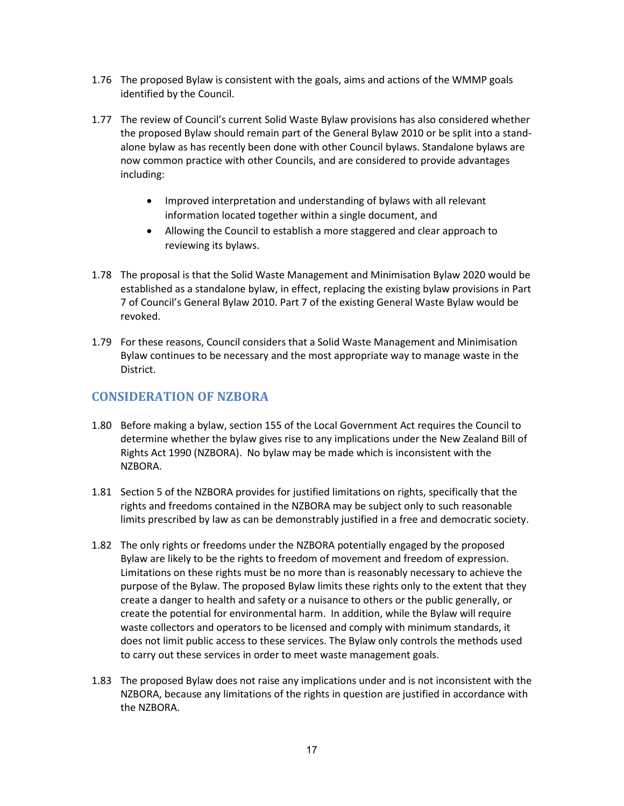- 1.76 The proposed Bylaw is consistent with the goals, aims and actions of the WMMP goals identified by the Council.
- 1.77 The review of Council's current Solid Waste Bylaw provisions has also considered whether the proposed Bylaw should remain part of the General Bylaw 2010 or be split into a standalone bylaw as has recently been done with other Council bylaws. Standalone bylaws are now common practice with other Councils, and are considered to provide advantages including:
	- Improved interpretation and understanding of bylaws with all relevant information located together within a single document, and
	- Allowing the Council to establish a more staggered and clear approach to reviewing its bylaws.
- 1.78 The proposal is that the Solid Waste Management and Minimisation Bylaw 2020 would be established as a standalone bylaw, in effect, replacing the existing bylaw provisions in Part 7 of Council's General Bylaw 2010. Part 7 of the existing General Waste Bylaw would be revoked.
- 1.79 For these reasons, Council considers that a Solid Waste Management and Minimisation Bylaw continues to be necessary and the most appropriate way to manage waste in the District.

# <span id="page-16-0"></span>**CONSIDERATION OF NZBORA**

- 1.80 Before making a bylaw, section 155 of the Local Government Act requires the Council to determine whether the bylaw gives rise to any implications under the New Zealand Bill of Rights Act 1990 (NZBORA). No bylaw may be made which is inconsistent with the NZBORA.
- 1.81 Section 5 of the NZBORA provides for justified limitations on rights, specifically that the rights and freedoms contained in the NZBORA may be subject only to such reasonable limits prescribed by law as can be demonstrably justified in a free and democratic society.
- 1.82 The only rights or freedoms under the NZBORA potentially engaged by the proposed Bylaw are likely to be the rights to freedom of movement and freedom of expression. Limitations on these rights must be no more than is reasonably necessary to achieve the purpose of the Bylaw. The proposed Bylaw limits these rights only to the extent that they create a danger to health and safety or a nuisance to others or the public generally, or create the potential for environmental harm. In addition, while the Bylaw will require waste collectors and operators to be licensed and comply with minimum standards, it does not limit public access to these services. The Bylaw only controls the methods used to carry out these services in order to meet waste management goals.
- 1.83 The proposed Bylaw does not raise any implications under and is not inconsistent with the NZBORA, because any limitations of the rights in question are justified in accordance with the NZBORA.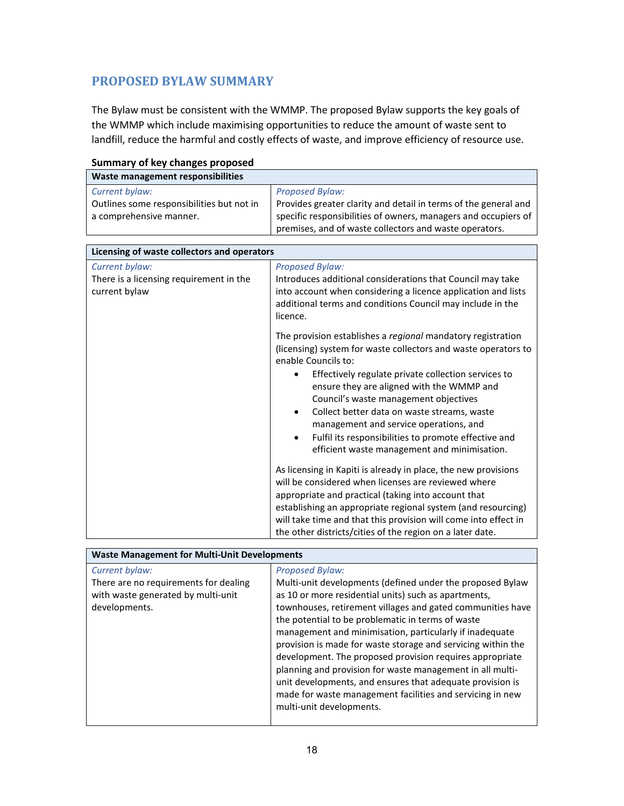# <span id="page-17-0"></span>**PROPOSED BYLAW SUMMARY**

The Bylaw must be consistent with the WMMP. The proposed Bylaw supports the key goals of the WMMP which include maximising opportunities to reduce the amount of waste sent to landfill, reduce the harmful and costly effects of waste, and improve efficiency of resource use.

| Waste management responsibilities         |                                                                 |
|-------------------------------------------|-----------------------------------------------------------------|
| Current bylaw:                            | <b>Proposed Bylaw:</b>                                          |
| Outlines some responsibilities but not in | Provides greater clarity and detail in terms of the general and |
| a comprehensive manner.                   | specific responsibilities of owners, managers and occupiers of  |
|                                           | premises, and of waste collectors and waste operators.          |

|  | <b>Summary of key changes proposed</b> |
|--|----------------------------------------|
|  |                                        |

| Licensing of waste collectors and operators              |                                                                                                                                                                                                                                                                                                                                                                                                                                                                                                    |  |
|----------------------------------------------------------|----------------------------------------------------------------------------------------------------------------------------------------------------------------------------------------------------------------------------------------------------------------------------------------------------------------------------------------------------------------------------------------------------------------------------------------------------------------------------------------------------|--|
| Current bylaw:                                           | <b>Proposed Bylaw:</b>                                                                                                                                                                                                                                                                                                                                                                                                                                                                             |  |
| There is a licensing requirement in the<br>current bylaw | Introduces additional considerations that Council may take<br>into account when considering a licence application and lists<br>additional terms and conditions Council may include in the<br>licence.                                                                                                                                                                                                                                                                                              |  |
|                                                          | The provision establishes a regional mandatory registration<br>(licensing) system for waste collectors and waste operators to<br>enable Councils to:<br>Effectively regulate private collection services to<br>ensure they are aligned with the WMMP and<br>Council's waste management objectives<br>Collect better data on waste streams, waste<br>management and service operations, and<br>Fulfil its responsibilities to promote effective and<br>efficient waste management and minimisation. |  |
|                                                          | As licensing in Kapiti is already in place, the new provisions<br>will be considered when licenses are reviewed where<br>appropriate and practical (taking into account that<br>establishing an appropriate regional system (and resourcing)<br>will take time and that this provision will come into effect in<br>the other districts/cities of the region on a later date.                                                                                                                       |  |

| <b>Waste Management for Multi-Unit Developments</b>                                                            |                                                                                                                                                                                                                                                                                                                                                                                                                                                                                                                                                                                                                                                                          |  |
|----------------------------------------------------------------------------------------------------------------|--------------------------------------------------------------------------------------------------------------------------------------------------------------------------------------------------------------------------------------------------------------------------------------------------------------------------------------------------------------------------------------------------------------------------------------------------------------------------------------------------------------------------------------------------------------------------------------------------------------------------------------------------------------------------|--|
| Current bylaw:<br>There are no requirements for dealing<br>with waste generated by multi-unit<br>developments. | <b>Proposed Bylaw:</b><br>Multi-unit developments (defined under the proposed Bylaw<br>as 10 or more residential units) such as apartments,<br>townhouses, retirement villages and gated communities have<br>the potential to be problematic in terms of waste<br>management and minimisation, particularly if inadequate<br>provision is made for waste storage and servicing within the<br>development. The proposed provision requires appropriate<br>planning and provision for waste management in all multi-<br>unit developments, and ensures that adequate provision is<br>made for waste management facilities and servicing in new<br>multi-unit developments. |  |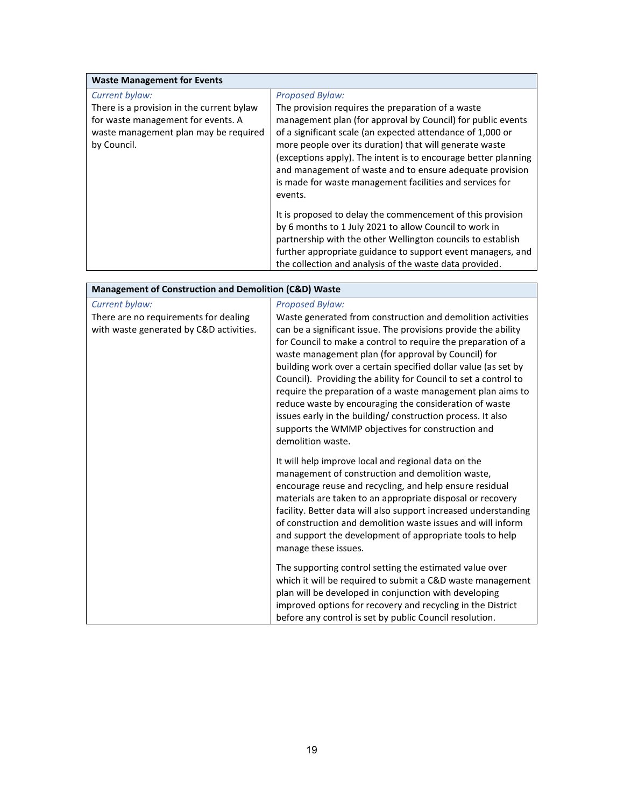| <b>Waste Management for Events</b>                                              |                                                                                                                                                                                                                                                                                                                            |
|---------------------------------------------------------------------------------|----------------------------------------------------------------------------------------------------------------------------------------------------------------------------------------------------------------------------------------------------------------------------------------------------------------------------|
| Current bylaw:                                                                  | <b>Proposed Bylaw:</b>                                                                                                                                                                                                                                                                                                     |
| There is a provision in the current bylaw<br>for waste management for events. A | The provision requires the preparation of a waste<br>management plan (for approval by Council) for public events                                                                                                                                                                                                           |
| waste management plan may be required<br>by Council.                            | of a significant scale (an expected attendance of 1,000 or<br>more people over its duration) that will generate waste<br>(exceptions apply). The intent is to encourage better planning<br>and management of waste and to ensure adequate provision<br>is made for waste management facilities and services for<br>events. |
|                                                                                 | It is proposed to delay the commencement of this provision<br>by 6 months to 1 July 2021 to allow Council to work in<br>partnership with the other Wellington councils to establish<br>further appropriate guidance to support event managers, and<br>the collection and analysis of the waste data provided.              |

| Management of Construction and Demolition (C&D) Waste                                              |                                                                                                                                                                                                                                                                                                                                                                                                                                                                                                                                                                                                                                                                                       |  |
|----------------------------------------------------------------------------------------------------|---------------------------------------------------------------------------------------------------------------------------------------------------------------------------------------------------------------------------------------------------------------------------------------------------------------------------------------------------------------------------------------------------------------------------------------------------------------------------------------------------------------------------------------------------------------------------------------------------------------------------------------------------------------------------------------|--|
| Current bylaw:<br>There are no requirements for dealing<br>with waste generated by C&D activities. | <b>Proposed Bylaw:</b><br>Waste generated from construction and demolition activities<br>can be a significant issue. The provisions provide the ability<br>for Council to make a control to require the preparation of a<br>waste management plan (for approval by Council) for<br>building work over a certain specified dollar value (as set by<br>Council). Providing the ability for Council to set a control to<br>require the preparation of a waste management plan aims to<br>reduce waste by encouraging the consideration of waste<br>issues early in the building/ construction process. It also<br>supports the WMMP objectives for construction and<br>demolition waste. |  |
|                                                                                                    | It will help improve local and regional data on the<br>management of construction and demolition waste,<br>encourage reuse and recycling, and help ensure residual<br>materials are taken to an appropriate disposal or recovery<br>facility. Better data will also support increased understanding<br>of construction and demolition waste issues and will inform<br>and support the development of appropriate tools to help<br>manage these issues.                                                                                                                                                                                                                                |  |
|                                                                                                    | The supporting control setting the estimated value over<br>which it will be required to submit a C&D waste management<br>plan will be developed in conjunction with developing<br>improved options for recovery and recycling in the District<br>before any control is set by public Council resolution.                                                                                                                                                                                                                                                                                                                                                                              |  |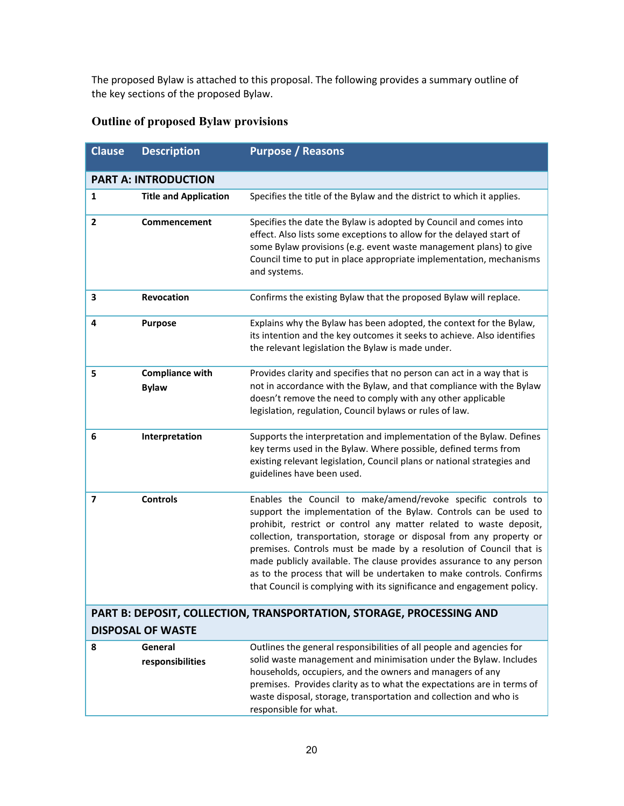The proposed Bylaw is attached to this proposal. The following provides a summary outline of the key sections of the proposed Bylaw.

# **Outline of proposed Bylaw provisions**

| <b>Clause</b>  | <b>Description</b>                     | <b>Purpose / Reasons</b>                                                                                                                                                                                                                                                                                                                                                                                                                                                                                                                                                        |
|----------------|----------------------------------------|---------------------------------------------------------------------------------------------------------------------------------------------------------------------------------------------------------------------------------------------------------------------------------------------------------------------------------------------------------------------------------------------------------------------------------------------------------------------------------------------------------------------------------------------------------------------------------|
|                | <b>PART A: INTRODUCTION</b>            |                                                                                                                                                                                                                                                                                                                                                                                                                                                                                                                                                                                 |
| $\mathbf{1}$   | <b>Title and Application</b>           | Specifies the title of the Bylaw and the district to which it applies.                                                                                                                                                                                                                                                                                                                                                                                                                                                                                                          |
| $\overline{2}$ | Commencement                           | Specifies the date the Bylaw is adopted by Council and comes into<br>effect. Also lists some exceptions to allow for the delayed start of<br>some Bylaw provisions (e.g. event waste management plans) to give<br>Council time to put in place appropriate implementation, mechanisms<br>and systems.                                                                                                                                                                                                                                                                           |
| 3              | Revocation                             | Confirms the existing Bylaw that the proposed Bylaw will replace.                                                                                                                                                                                                                                                                                                                                                                                                                                                                                                               |
| 4              | <b>Purpose</b>                         | Explains why the Bylaw has been adopted, the context for the Bylaw,<br>its intention and the key outcomes it seeks to achieve. Also identifies<br>the relevant legislation the Bylaw is made under.                                                                                                                                                                                                                                                                                                                                                                             |
| 5              | <b>Compliance with</b><br><b>Bylaw</b> | Provides clarity and specifies that no person can act in a way that is<br>not in accordance with the Bylaw, and that compliance with the Bylaw<br>doesn't remove the need to comply with any other applicable<br>legislation, regulation, Council bylaws or rules of law.                                                                                                                                                                                                                                                                                                       |
| 6              | Interpretation                         | Supports the interpretation and implementation of the Bylaw. Defines<br>key terms used in the Bylaw. Where possible, defined terms from<br>existing relevant legislation, Council plans or national strategies and<br>guidelines have been used.                                                                                                                                                                                                                                                                                                                                |
| 7              | <b>Controls</b>                        | Enables the Council to make/amend/revoke specific controls to<br>support the implementation of the Bylaw. Controls can be used to<br>prohibit, restrict or control any matter related to waste deposit,<br>collection, transportation, storage or disposal from any property or<br>premises. Controls must be made by a resolution of Council that is<br>made publicly available. The clause provides assurance to any person<br>as to the process that will be undertaken to make controls. Confirms<br>that Council is complying with its significance and engagement policy. |
|                |                                        | PART B: DEPOSIT, COLLECTION, TRANSPORTATION, STORAGE, PROCESSING AND                                                                                                                                                                                                                                                                                                                                                                                                                                                                                                            |
|                | <b>DISPOSAL OF WASTE</b>               |                                                                                                                                                                                                                                                                                                                                                                                                                                                                                                                                                                                 |
| 8              | General<br>responsibilities            | Outlines the general responsibilities of all people and agencies for<br>solid waste management and minimisation under the Bylaw. Includes<br>households, occupiers, and the owners and managers of any<br>premises. Provides clarity as to what the expectations are in terms of<br>waste disposal, storage, transportation and collection and who is<br>responsible for what.                                                                                                                                                                                                  |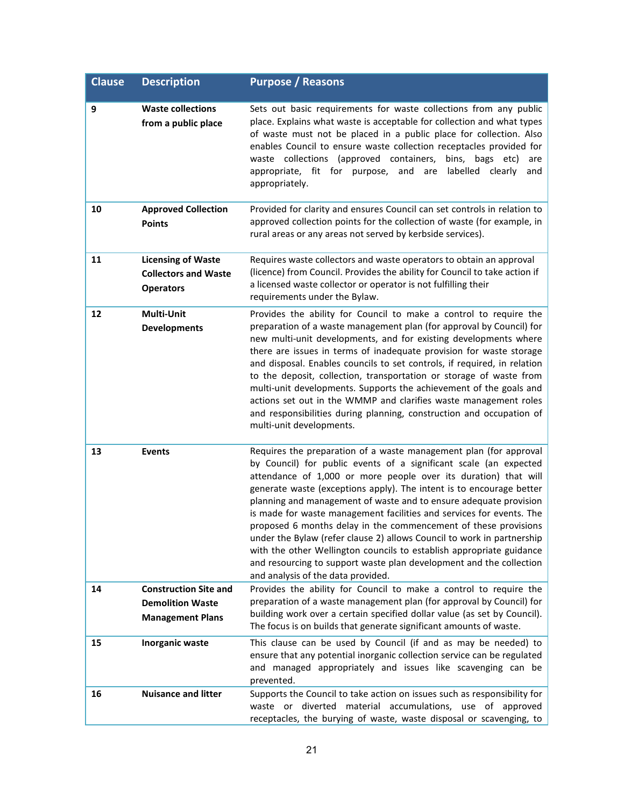| <b>Clause</b> | <b>Description</b>                                                                 | <b>Purpose / Reasons</b>                                                                                                                                                                                                                                                                                                                                                                                                                                                                                                                                                                                                                                                                                                                                         |
|---------------|------------------------------------------------------------------------------------|------------------------------------------------------------------------------------------------------------------------------------------------------------------------------------------------------------------------------------------------------------------------------------------------------------------------------------------------------------------------------------------------------------------------------------------------------------------------------------------------------------------------------------------------------------------------------------------------------------------------------------------------------------------------------------------------------------------------------------------------------------------|
| 9             | <b>Waste collections</b><br>from a public place                                    | Sets out basic requirements for waste collections from any public<br>place. Explains what waste is acceptable for collection and what types<br>of waste must not be placed in a public place for collection. Also<br>enables Council to ensure waste collection receptacles provided for<br>waste collections (approved containers,<br>bins,<br>bags etc)<br>are<br>appropriate, fit for purpose, and are<br>labelled clearly<br>and<br>appropriately.                                                                                                                                                                                                                                                                                                           |
| 10            | <b>Approved Collection</b><br><b>Points</b>                                        | Provided for clarity and ensures Council can set controls in relation to<br>approved collection points for the collection of waste (for example, in<br>rural areas or any areas not served by kerbside services).                                                                                                                                                                                                                                                                                                                                                                                                                                                                                                                                                |
| 11            | <b>Licensing of Waste</b><br><b>Collectors and Waste</b><br><b>Operators</b>       | Requires waste collectors and waste operators to obtain an approval<br>(licence) from Council. Provides the ability for Council to take action if<br>a licensed waste collector or operator is not fulfilling their<br>requirements under the Bylaw.                                                                                                                                                                                                                                                                                                                                                                                                                                                                                                             |
| 12            | Multi-Unit<br><b>Developments</b>                                                  | Provides the ability for Council to make a control to require the<br>preparation of a waste management plan (for approval by Council) for<br>new multi-unit developments, and for existing developments where<br>there are issues in terms of inadequate provision for waste storage<br>and disposal. Enables councils to set controls, if required, in relation<br>to the deposit, collection, transportation or storage of waste from<br>multi-unit developments. Supports the achievement of the goals and<br>actions set out in the WMMP and clarifies waste management roles<br>and responsibilities during planning, construction and occupation of<br>multi-unit developments.                                                                            |
| 13            | <b>Events</b>                                                                      | Requires the preparation of a waste management plan (for approval<br>by Council) for public events of a significant scale (an expected<br>attendance of 1,000 or more people over its duration) that will<br>generate waste (exceptions apply). The intent is to encourage better<br>planning and management of waste and to ensure adequate provision<br>is made for waste management facilities and services for events. The<br>proposed 6 months delay in the commencement of these provisions<br>under the Bylaw (refer clause 2) allows Council to work in partnership<br>with the other Wellington councils to establish appropriate guidance<br>and resourcing to support waste plan development and the collection<br>and analysis of the data provided. |
| 14            | <b>Construction Site and</b><br><b>Demolition Waste</b><br><b>Management Plans</b> | Provides the ability for Council to make a control to require the<br>preparation of a waste management plan (for approval by Council) for<br>building work over a certain specified dollar value (as set by Council).<br>The focus is on builds that generate significant amounts of waste.                                                                                                                                                                                                                                                                                                                                                                                                                                                                      |
| 15            | Inorganic waste                                                                    | This clause can be used by Council (if and as may be needed) to<br>ensure that any potential inorganic collection service can be regulated<br>and managed appropriately and issues like scavenging can be<br>prevented.                                                                                                                                                                                                                                                                                                                                                                                                                                                                                                                                          |
| 16            | <b>Nuisance and litter</b>                                                         | Supports the Council to take action on issues such as responsibility for<br>material accumulations, use of approved<br>diverted<br>waste or<br>receptacles, the burying of waste, waste disposal or scavenging, to                                                                                                                                                                                                                                                                                                                                                                                                                                                                                                                                               |